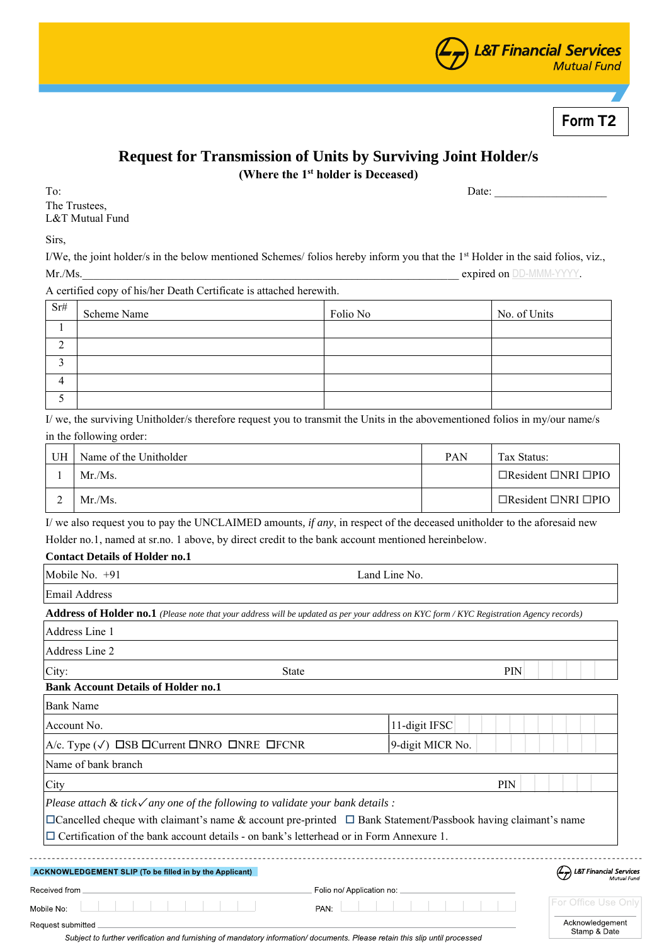

**Form T2**

# **Request for Transmission of Units by Surviving Joint Holder/s**

**(Where the 1st holder is Deceased)**

To: 2010 Date: 2010 Date: 2010 Date: 2010 Date: 2010 Date: 2010 Date: 2010 01: 2010 01: 2010 01: 2010 01: 2010 The Trustees, L&T Mutual Fund

Sirs,

I/We, the joint holder/s in the below mentioned Schemes/ folios hereby inform you that the 1<sup>st</sup> Holder in the said folios, viz., Mr./Ms. expired on DD-MMM-YYYY.

A certified copy of his/her Death Certificate is attached herewith.

| Sr#    | Scheme Name | Folio No | No. of Units |
|--------|-------------|----------|--------------|
|        |             |          |              |
| ◠<br>∠ |             |          |              |
| $\sim$ |             |          |              |
| 4      |             |          |              |
|        |             |          |              |

I/ we, the surviving Unitholder/s therefore request you to transmit the Units in the abovementioned folios in my/our name/s in the following order:

| UH | Name of the Unitholder | <b>PAN</b> | Tax Status:                           |
|----|------------------------|------------|---------------------------------------|
|    | $Mr/Ms$ .              |            | $\Box$ Resident $\Box$ NRI $\Box$ PIO |
|    | $Mr/Ms$ .              |            | $\Box$ Resident $\Box$ NRI $\Box$ PIO |

I/ we also request you to pay the UNCLAIMED amounts*, if any*, in respect of the deceased unitholder to the aforesaid new Holder no.1, named at sr.no. 1 above, by direct credit to the bank account mentioned hereinbelow.

## **Contact Details of Holder no.1**

| Mobile No. $+91$<br>Land Line No.                                                                                                                                                                                                                                                                                           |              |                  |  |            |  |  |                                                                  |
|-----------------------------------------------------------------------------------------------------------------------------------------------------------------------------------------------------------------------------------------------------------------------------------------------------------------------------|--------------|------------------|--|------------|--|--|------------------------------------------------------------------|
| <b>Email Address</b>                                                                                                                                                                                                                                                                                                        |              |                  |  |            |  |  |                                                                  |
| Address of Holder no.1 (Please note that your address will be updated as per your address on KYC form / KYC Registration Agency records)                                                                                                                                                                                    |              |                  |  |            |  |  |                                                                  |
| <b>Address Line 1</b>                                                                                                                                                                                                                                                                                                       |              |                  |  |            |  |  |                                                                  |
| Address Line 2                                                                                                                                                                                                                                                                                                              |              |                  |  |            |  |  |                                                                  |
| City:                                                                                                                                                                                                                                                                                                                       | <b>State</b> |                  |  | <b>PIN</b> |  |  |                                                                  |
| <b>Bank Account Details of Holder no.1</b>                                                                                                                                                                                                                                                                                  |              |                  |  |            |  |  |                                                                  |
| <b>Bank Name</b>                                                                                                                                                                                                                                                                                                            |              |                  |  |            |  |  |                                                                  |
| Account No.                                                                                                                                                                                                                                                                                                                 |              | 11-digit IFSC    |  |            |  |  |                                                                  |
| A/c. Type $(\checkmark)$ $\square$ SB $\square$ Current $\square$ NRO $\square$ NRE $\square$ FCNR                                                                                                                                                                                                                          |              | 9-digit MICR No. |  |            |  |  |                                                                  |
| Name of bank branch                                                                                                                                                                                                                                                                                                         |              |                  |  |            |  |  |                                                                  |
| City                                                                                                                                                                                                                                                                                                                        |              |                  |  | <b>PIN</b> |  |  |                                                                  |
| Please attach $\&$ tick $\checkmark$ any one of the following to validate your bank details :<br>$\Box$ Cancelled cheque with claimant's name & account pre-printed $\Box$ Bank Statement/Passbook having claimant's name<br>$\Box$ Certification of the bank account details - on bank's letterhead or in Form Annexure 1. |              |                  |  |            |  |  |                                                                  |
| <b>ACKNOWLEDGEMENT SLIP (To be filled in by the Applicant)</b>                                                                                                                                                                                                                                                              |              |                  |  |            |  |  | $\left(\frac{L}{Z}\right)$ L&T Financial Services<br>Mutual Fung |
| Received from _                                                                                                                                                                                                                                                                                                             |              |                  |  |            |  |  |                                                                  |
| Mobile No:                                                                                                                                                                                                                                                                                                                  | PAN:         |                  |  |            |  |  | For Office Use Only                                              |
| Request submitted<br>Subject to further verification and furnishing of mandatory information/documents. Please retain this slip until processed                                                                                                                                                                             |              |                  |  |            |  |  | Acknowledgement<br>Stamp & Date                                  |